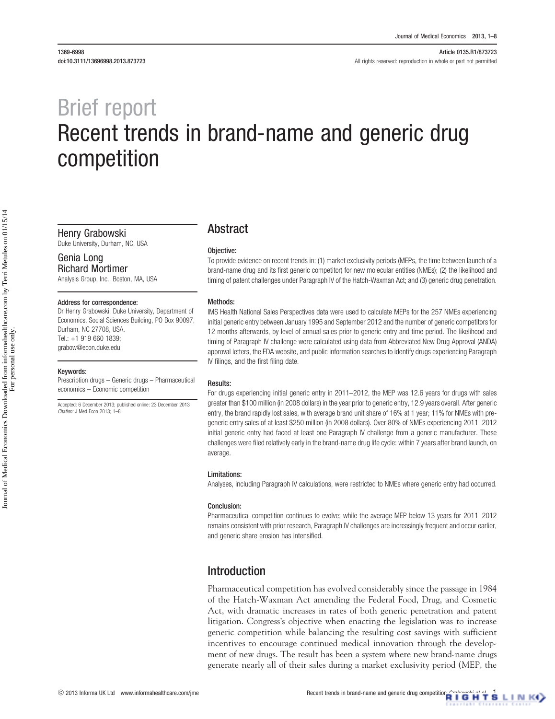1369-6998 Article 0135.R1/873723 doi:10.3111/13696998.2013.873723 All rights reserved: reproduction in whole or part not permitted

# Brief report Recent trends in brand-name and generic drug competition

Henry Grabowski Duke University, Durham, NC, USA

# Genia Long Richard Mortimer

Analysis Group, Inc., Boston, MA, USA

### Address for correspondence:

Dr Henry Grabowski, Duke University, Department of Economics, Social Sciences Building, PO Box 90097, Durham, NC 27708, USA. Tel.: +1 919 660 1839; [grabow@econ.duke.edu](mailto:grabow@econ.duke.edu)

### Keywords:

Prescription drugs – Generic drugs – Pharmaceutical economics – Economic competition

Accepted: 6 December 2013; published online: 23 December 2013 Citation: J Med Econ 2013; 1–8

# Abstract

### Objective:

To provide evidence on recent trends in: (1) market exclusivity periods (MEPs, the time between launch of a brand-name drug and its first generic competitor) for new molecular entities (NMEs); (2) the likelihood and timing of patent challenges under Paragraph IV of the Hatch-Waxman Act; and (3) generic drug penetration

#### Methods:

IMS Health National Sales Perspectives data were used to calculate MEPs for the 257 NMEs experiencing initial generic entry between January 1995 and September 2012 and the number of generic competitors for 12 months afterwards, by level of annual sales prior to generic entry and time period. The likelihood and timing of Paragraph IV challenge were calculated using data from Abbreviated New Drug Approval (ANDA) approval letters, the FDA website, and public information searches to identify drugs experiencing Paragraph IV filings, and the first filing date.

#### Results:

For drugs experiencing initial generic entry in 2011–2012, the MEP was 12.6 years for drugs with sales greater than \$100 million (in 2008 dollars) in the year prior to generic entry, 12.9 years overall. After generic entry, the brand rapidly lost sales, with average brand unit share of 16% at 1 year; 11% for NMEs with pregeneric entry sales of at least \$250 million (in 2008 dollars). Over 80% of NMEs experiencing 2011–2012 initial generic entry had faced at least one Paragraph IV challenge from a generic manufacturer. These challenges were filed relatively early in the brand-name drug life cycle: within 7 years after brand launch, on average.

### Limitations:

Analyses, including Paragraph IV calculations, were restricted to NMEs where generic entry had occurred.

#### Conclusion:

Pharmaceutical competition continues to evolve; while the average MEP below 13 years for 2011–2012 remains consistent with prior research, Paragraph IV challenges are increasingly frequent and occur earlier, and generic share erosion has intensified.

# Introduction

Pharmaceutical competition has evolved considerably since the passage in 1984 of the Hatch-Waxman Act amending the Federal Food, Drug, and Cosmetic Act, with dramatic increases in rates of both generic penetration and patent litigation. Congress's objective when enacting the legislation was to increase generic competition while balancing the resulting cost savings with sufficient incentives to encourage continued medical innovation through the development of new drugs. The result has been a system where new brand-name drugs generate nearly all of their sales during a market exclusivity period (MEP, the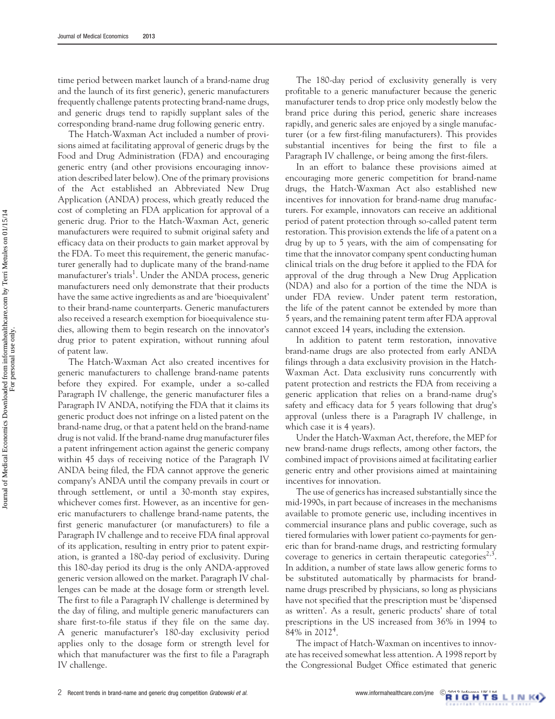Journal of Medical Economics Downloaded from informahealthcare.com by Terri Metules on 01/15/14 Journal of Medical Economics Downloaded from informahealthcare.com by Terri Metules on 01/15/14 For personal use only.

time period between market launch of a brand-name drug and the launch of its first generic), generic manufacturers frequently challenge patents protecting brand-name drugs, and generic drugs tend to rapidly supplant sales of the corresponding brand-name drug following generic entry.

The Hatch-Waxman Act included a number of provisions aimed at facilitating approval of generic drugs by the Food and Drug Administration (FDA) and encouraging generic entry (and other provisions encouraging innovation described later below). One of the primary provisions of the Act established an Abbreviated New Drug Application (ANDA) process, which greatly reduced the cost of completing an FDA application for approval of a generic drug. Prior to the Hatch-Waxman Act, generic manufacturers were required to submit original safety and efficacy data on their products to gain market approval by the FDA. To meet this requirement, the generic manufacturer generally had to duplicate many of the brand-name manufacturer's trials<sup>[1](#page-7-0)</sup>. Under the ANDA process, generic manufacturers need only demonstrate that their products have the same active ingredients as and are 'bioequivalent' to their brand-name counterparts. Generic manufacturers also received a research exemption for bioequivalence studies, allowing them to begin research on the innovator's drug prior to patent expiration, without running afoul of patent law.

The Hatch-Waxman Act also created incentives for generic manufacturers to challenge brand-name patents before they expired. For example, under a so-called Paragraph IV challenge, the generic manufacturer files a Paragraph IV ANDA, notifying the FDA that it claims its generic product does not infringe on a listed patent on the brand-name drug, or that a patent held on the brand-name drug is not valid. If the brand-name drug manufacturer files a patent infringement action against the generic company within 45 days of receiving notice of the Paragraph IV ANDA being filed, the FDA cannot approve the generic company's ANDA until the company prevails in court or through settlement, or until a 30-month stay expires, whichever comes first. However, as an incentive for generic manufacturers to challenge brand-name patents, the first generic manufacturer (or manufacturers) to file a Paragraph IV challenge and to receive FDA final approval of its application, resulting in entry prior to patent expiration, is granted a 180-day period of exclusivity. During this 180-day period its drug is the only ANDA-approved generic version allowed on the market. Paragraph IV challenges can be made at the dosage form or strength level. The first to file a Paragraph IV challenge is determined by the day of filing, and multiple generic manufacturers can share first-to-file status if they file on the same day. A generic manufacturer's 180-day exclusivity period applies only to the dosage form or strength level for which that manufacturer was the first to file a Paragraph IV challenge.

The 180-day period of exclusivity generally is very profitable to a generic manufacturer because the generic manufacturer tends to drop price only modestly below the brand price during this period, generic share increases rapidly, and generic sales are enjoyed by a single manufacturer (or a few first-filing manufacturers). This provides substantial incentives for being the first to file a Paragraph IV challenge, or being among the first-filers.

In an effort to balance these provisions aimed at encouraging more generic competition for brand-name drugs, the Hatch-Waxman Act also established new incentives for innovation for brand-name drug manufacturers. For example, innovators can receive an additional period of patent protection through so-called patent term restoration. This provision extends the life of a patent on a drug by up to 5 years, with the aim of compensating for time that the innovator company spent conducting human clinical trials on the drug before it applied to the FDA for approval of the drug through a New Drug Application (NDA) and also for a portion of the time the NDA is under FDA review. Under patent term restoration, the life of the patent cannot be extended by more than 5 years, and the remaining patent term after FDA approval cannot exceed 14 years, including the extension.

In addition to patent term restoration, innovative brand-name drugs are also protected from early ANDA filings through a data exclusivity provision in the Hatch-Waxman Act. Data exclusivity runs concurrently with patent protection and restricts the FDA from receiving a generic application that relies on a brand-name drug's safety and efficacy data for 5 years following that drug's approval (unless there is a Paragraph IV challenge, in which case it is 4 years).

Under the Hatch-Waxman Act, therefore, the MEP for new brand-name drugs reflects, among other factors, the combined impact of provisions aimed at facilitating earlier generic entry and other provisions aimed at maintaining incentives for innovation.

The use of generics has increased substantially since the mid-1990s, in part because of increases in the mechanisms available to promote generic use, including incentives in commercial insurance plans and public coverage, such as tiered formularies with lower patient co-payments for generic than for brand-name drugs, and restricting formulary coverage to generics in certain therapeutic categories<sup> $2,3$ </sup>. In addition, a number of state laws allow generic forms to be substituted automatically by pharmacists for brandname drugs prescribed by physicians, so long as physicians have not specified that the prescription must be 'dispensed as written'. As a result, generic products' share of total prescriptions in the US increased from 36% in 1994 to 84% in 2012[4](#page-7-0) .

The impact of Hatch-Waxman on incentives to innovate has received somewhat less attention. A 1998 report by the Congressional Budget Office estimated that generic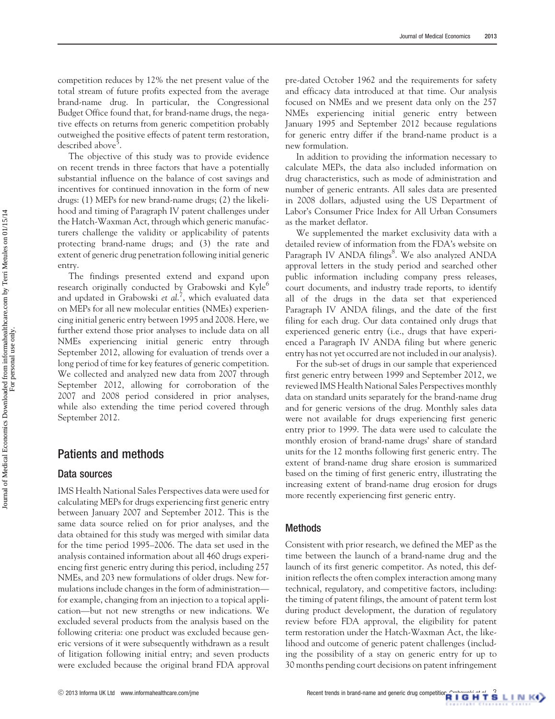competition reduces by 12% the net present value of the total stream of future profits expected from the average brand-name drug. In particular, the Congressional Budget Office found that, for brand-name drugs, the negative effects on returns from generic competition probably outweighed the positive effects of patent term restoration, described above<sup>[5](#page-7-0)</sup>.

The objective of this study was to provide evidence on recent trends in three factors that have a potentially substantial influence on the balance of cost savings and incentives for continued innovation in the form of new drugs: (1) MEPs for new brand-name drugs; (2) the likelihood and timing of Paragraph IV patent challenges under the Hatch-Waxman Act, through which generic manufacturers challenge the validity or applicability of patents protecting brand-name drugs; and (3) the rate and extent of generic drug penetration following initial generic entry.

The findings presented extend and expand upon research originally conducted by Grabowski and Kyle<sup>[6](#page-7-0)</sup> and updated in Grabowski et al.<sup>[7](#page-7-0)</sup>, which evaluated data on MEPs for all new molecular entities (NMEs) experiencing initial generic entry between 1995 and 2008. Here, we further extend those prior analyses to include data on all NMEs experiencing initial generic entry through September 2012, allowing for evaluation of trends over a long period of time for key features of generic competition. We collected and analyzed new data from 2007 through September 2012, allowing for corroboration of the 2007 and 2008 period considered in prior analyses, while also extending the time period covered through September 2012.

# Patients and methods

### Data sources

IMS Health National Sales Perspectives data were used for calculating MEPs for drugs experiencing first generic entry between January 2007 and September 2012. This is the same data source relied on for prior analyses, and the data obtained for this study was merged with similar data for the time period 1995–2006. The data set used in the analysis contained information about all 460 drugs experiencing first generic entry during this period, including 257 NMEs, and 203 new formulations of older drugs. New formulations include changes in the form of administration for example, changing from an injection to a topical application—but not new strengths or new indications. We excluded several products from the analysis based on the following criteria: one product was excluded because generic versions of it were subsequently withdrawn as a result of litigation following initial entry; and seven products were excluded because the original brand FDA approval

pre-dated October 1962 and the requirements for safety and efficacy data introduced at that time. Our analysis focused on NMEs and we present data only on the 257 NMEs experiencing initial generic entry between January 1995 and September 2012 because regulations for generic entry differ if the brand-name product is a new formulation.

In addition to providing the information necessary to calculate MEPs, the data also included information on drug characteristics, such as mode of administration and number of generic entrants. All sales data are presented in 2008 dollars, adjusted using the US Department of Labor's Consumer Price Index for All Urban Consumers as the market deflator.

We supplemented the market exclusivity data with a detailed review of information from the FDA's website on Paragraph IV ANDA filings<sup>[8](#page-7-0)</sup>. We also analyzed ANDA approval letters in the study period and searched other public information including company press releases, court documents, and industry trade reports, to identify all of the drugs in the data set that experienced Paragraph IV ANDA filings, and the date of the first filing for each drug. Our data contained only drugs that experienced generic entry (i.e., drugs that have experienced a Paragraph IV ANDA filing but where generic entry has not yet occurred are not included in our analysis).

For the sub-set of drugs in our sample that experienced first generic entry between 1999 and September 2012, we reviewed IMS Health National Sales Perspectives monthly data on standard units separately for the brand-name drug and for generic versions of the drug. Monthly sales data were not available for drugs experiencing first generic entry prior to 1999. The data were used to calculate the monthly erosion of brand-name drugs' share of standard units for the 12 months following first generic entry. The extent of brand-name drug share erosion is summarized based on the timing of first generic entry, illustrating the increasing extent of brand-name drug erosion for drugs more recently experiencing first generic entry.

### Methods

Consistent with prior research, we defined the MEP as the time between the launch of a brand-name drug and the launch of its first generic competitor. As noted, this definition reflects the often complex interaction among many technical, regulatory, and competitive factors, including: the timing of patent filings, the amount of patent term lost during product development, the duration of regulatory review before FDA approval, the eligibility for patent term restoration under the Hatch-Waxman Act, the likelihood and outcome of generic patent challenges (including the possibility of a stay on generic entry for up to 30 months pending court decisions on patent infringement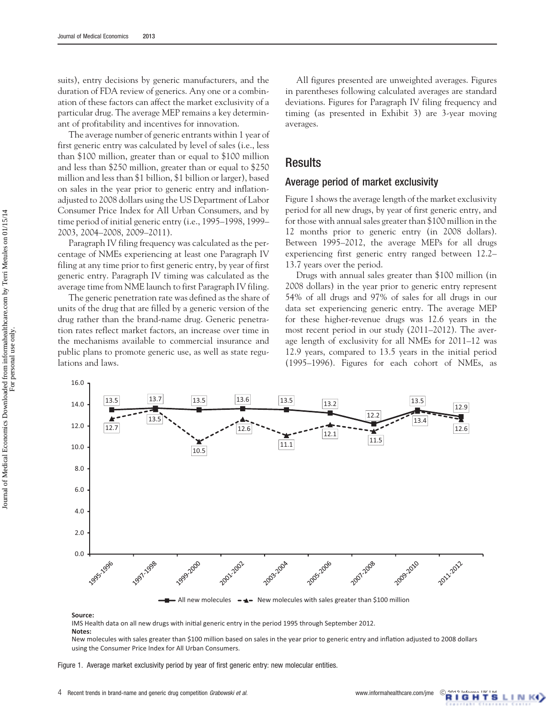suits), entry decisions by generic manufacturers, and the duration of FDA review of generics. Any one or a combination of these factors can affect the market exclusivity of a particular drug. The average MEP remains a key determinant of profitability and incentives for innovation.

The average number of generic entrants within 1 year of first generic entry was calculated by level of sales (i.e., less than \$100 million, greater than or equal to \$100 million and less than \$250 million, greater than or equal to \$250 million and less than \$1 billion, \$1 billion or larger), based on sales in the year prior to generic entry and inflationadjusted to 2008 dollars using the US Department of Labor Consumer Price Index for All Urban Consumers, and by time period of initial generic entry (i.e., 1995–1998, 1999– 2003, 2004–2008, 2009–2011).

Paragraph IV filing frequency was calculated as the percentage of NMEs experiencing at least one Paragraph IV filing at any time prior to first generic entry, by year of first generic entry. Paragraph IV timing was calculated as the average time from NME launch to first Paragraph IV filing.

The generic penetration rate was defined as the share of units of the drug that are filled by a generic version of the drug rather than the brand-name drug. Generic penetration rates reflect market factors, an increase over time in the mechanisms available to commercial insurance and public plans to promote generic use, as well as state regulations and laws.

All figures presented are unweighted averages. Figures in parentheses following calculated averages are standard deviations. Figures for Paragraph IV filing frequency and timing (as presented in Exhibit 3) are 3-year moving averages.

## **Results**

### Average period of market exclusivity

Figure 1 shows the average length of the market exclusivity period for all new drugs, by year of first generic entry, and for those with annual sales greater than \$100 million in the 12 months prior to generic entry (in 2008 dollars). Between 1995–2012, the average MEPs for all drugs experiencing first generic entry ranged between 12.2– 13.7 years over the period.

Drugs with annual sales greater than \$100 million (in 2008 dollars) in the year prior to generic entry represent 54% of all drugs and 97% of sales for all drugs in our data set experiencing generic entry. The average MEP for these higher-revenue drugs was 12.6 years in the most recent period in our study (2011–2012). The average length of exclusivity for all NMEs for 2011–12 was 12.9 years, compared to 13.5 years in the initial period (1995–1996). Figures for each cohort of NMEs, as



#### **Source:**

Journal of Medical Economics Downloaded from informahealthcare.com by Terri Metules on 01/15/14 Journal of Medical Economics Downloaded from informahealthcare.com by Terri Metules on 01/15/14 For personal use only.

> IMS Health data on all new drugs with initial generic entry in the period 1995 through September 2012. **Notes:**

New molecules with sales greater than \$100 million based on sales in the year prior to generic entry and inflation adjusted to 2008 dollars using the Consumer Price Index for All Urban Consumers.

Figure 1. Average market exclusivity period by year of first generic entry: new molecular entities.

L

**INK**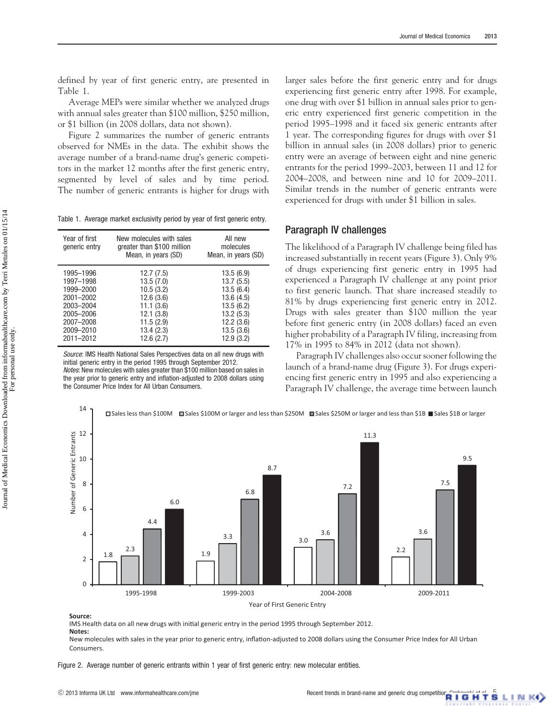defined by year of first generic entry, are presented in Table 1.

Average MEPs were similar whether we analyzed drugs with annual sales greater than \$100 million, \$250 million, or \$1 billion (in 2008 dollars, data not shown).

Figure 2 summarizes the number of generic entrants observed for NMEs in the data. The exhibit shows the average number of a brand-name drug's generic competitors in the market 12 months after the first generic entry, segmented by level of sales and by time period. The number of generic entrants is higher for drugs with

Table 1. Average market exclusivity period by year of first generic entry.

| Year of first<br>generic entry | New molecules with sales<br>greater than \$100 million<br>Mean, in years (SD) | All new<br>molecules<br>Mean, in years (SD) |
|--------------------------------|-------------------------------------------------------------------------------|---------------------------------------------|
| 1995-1996                      | 12.7(7.5)                                                                     | 13.5(6.9)                                   |
| 1997-1998                      | 13.5(7.0)                                                                     | 13.7(5.5)                                   |
| 1999-2000                      | 10.5(3.2)                                                                     | 13.5(6.4)                                   |
| 2001-2002                      | 12.6(3.6)                                                                     | 13.6(4.5)                                   |
| 2003-2004                      | 11.1(3.6)                                                                     | 13.5(6.2)                                   |
| 2005-2006                      | 12.1(3.8)                                                                     | 13.2(5.3)                                   |
| 2007-2008                      | 11.5(2.9)                                                                     | 12.2(3.6)                                   |
| 2009-2010                      | 13.4(2.3)                                                                     | 13.5(3.6)                                   |
| 2011-2012                      | 12.6 (2.7)                                                                    | 12.9(3.2)                                   |

Source: IMS Health National Sales Perspectives data on all new drugs with initial generic entry in the period 1995 through September 2012. Notes: New molecules with sales greater than \$100 million based on sales in the year prior to generic entry and inflation-adjusted to 2008 dollars using the Consumer Price Index for All Urban Consumers.

larger sales before the first generic entry and for drugs experiencing first generic entry after 1998. For example, one drug with over \$1 billion in annual sales prior to generic entry experienced first generic competition in the period 1995–1998 and it faced six generic entrants after 1 year. The corresponding figures for drugs with over \$1 billion in annual sales (in 2008 dollars) prior to generic entry were an average of between eight and nine generic entrants for the period 1999–2003, between 11 and 12 for 2004–2008, and between nine and 10 for 2009–2011. Similar trends in the number of generic entrants were experienced for drugs with under \$1 billion in sales.

### Paragraph IV challenges

The likelihood of a Paragraph IV challenge being filed has increased substantially in recent years ([Figure 3](#page-5-0)). Only 9% of drugs experiencing first generic entry in 1995 had experienced a Paragraph IV challenge at any point prior to first generic launch. That share increased steadily to 81% by drugs experiencing first generic entry in 2012. Drugs with sales greater than \$100 million the year before first generic entry (in 2008 dollars) faced an even higher probability of a Paragraph IV filing, increasing from 17% in 1995 to 84% in 2012 (data not shown).

Paragraph IV challenges also occur sooner following the launch of a brand-name drug ([Figure 3](#page-5-0)). For drugs experiencing first generic entry in 1995 and also experiencing a Paragraph IV challenge, the average time between launch



#### **Source:**

IMS Health data on all new drugs with initial generic entry in the period 1995 through September 2012. **Notes:**

New molecules with sales in the year prior to generic entry, inflation-adjusted to 2008 dollars using the Consumer Price Index for All Urban Consumers.

Figure 2. Average number of generic entrants within 1 year of first generic entry: new molecular entities.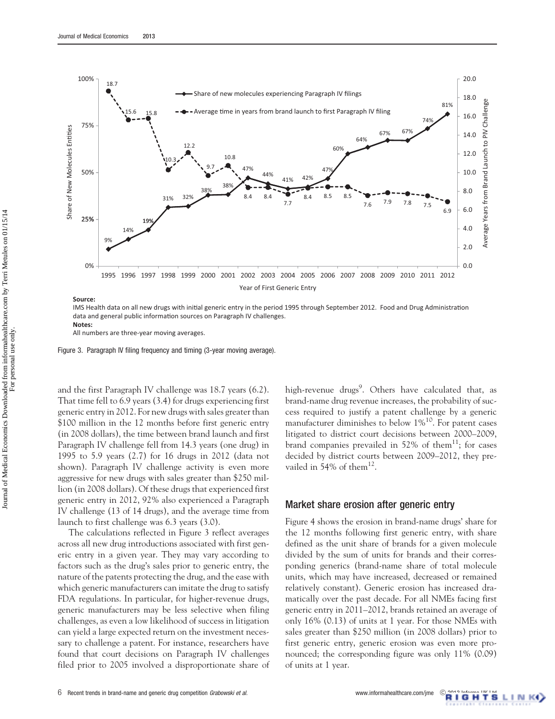<span id="page-5-0"></span>

**Source:**

IMS Health data on all new drugs with initial generic entry in the period 1995 through September 2012. Food and Drug Administration data and general public information sources on Paragraph IV challenges. **Notes:**

All numbers are three-year moving averages.

Figure 3. Paragraph IV filing frequency and timing (3-year moving average).

and the first Paragraph IV challenge was 18.7 years (6.2). That time fell to 6.9 years (3.4) for drugs experiencing first generic entry in 2012. For new drugs with sales greater than \$100 million in the 12 months before first generic entry (in 2008 dollars), the time between brand launch and first Paragraph IV challenge fell from 14.3 years (one drug) in 1995 to 5.9 years (2.7) for 16 drugs in 2012 (data not shown). Paragraph IV challenge activity is even more aggressive for new drugs with sales greater than \$250 million (in 2008 dollars). Of these drugs that experienced first generic entry in 2012, 92% also experienced a Paragraph IV challenge (13 of 14 drugs), and the average time from launch to first challenge was 6.3 years (3.0).

The calculations reflected in Figure 3 reflect averages across all new drug introductions associated with first generic entry in a given year. They may vary according to factors such as the drug's sales prior to generic entry, the nature of the patents protecting the drug, and the ease with which generic manufacturers can imitate the drug to satisfy FDA regulations. In particular, for higher-revenue drugs, generic manufacturers may be less selective when filing challenges, as even a low likelihood of success in litigation can yield a large expected return on the investment necessary to challenge a patent. For instance, researchers have found that court decisions on Paragraph IV challenges filed prior to 2005 involved a disproportionate share of

high-revenue drugs<sup>9</sup>. Others have calculated that, as brand-name drug revenue increases, the probability of success required to justify a patent challenge by a generic manufacturer diminishes to below  $1\%^{10}$  $1\%^{10}$  $1\%^{10}$ . For patent cases litigated to district court decisions between 2000–2009, brand companies prevailed in  $52\%$  of them<sup>[11](#page-7-0)</sup>; for cases decided by district courts between 2009–2012, they prevailed in 54% of them $^{12}$ .

### Market share erosion after generic entry

[Figure 4](#page-6-0) shows the erosion in brand-name drugs' share for the 12 months following first generic entry, with share defined as the unit share of brands for a given molecule divided by the sum of units for brands and their corresponding generics (brand-name share of total molecule units, which may have increased, decreased or remained relatively constant). Generic erosion has increased dramatically over the past decade. For all NMEs facing first generic entry in 2011–2012, brands retained an average of only 16% (0.13) of units at 1 year. For those NMEs with sales greater than \$250 million (in 2008 dollars) prior to first generic entry, generic erosion was even more pronounced; the corresponding figure was only 11% (0.09) of units at 1 year.

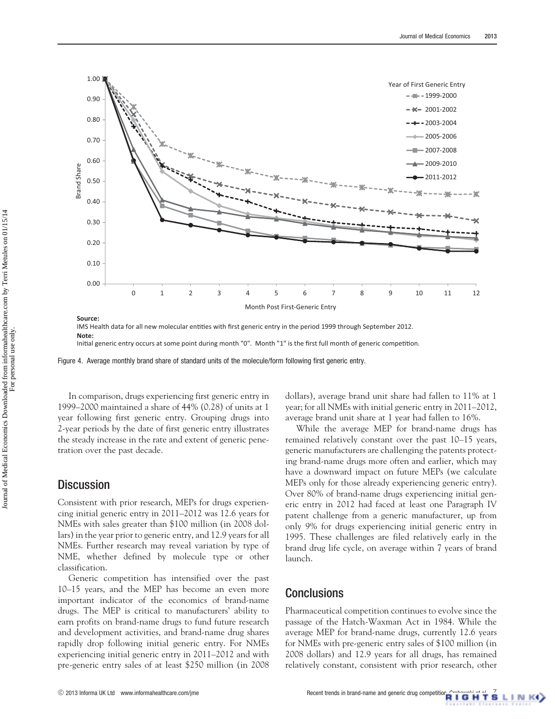<span id="page-6-0"></span>

IMS Health data for all new molecular entities with first generic entry in the period 1999 through September 2012. **Note:**

Initial generic entry occurs at some point during month "0". Month "1" is the first full month of generic competition.

Figure 4. Average monthly brand share of standard units of the molecule/form following first generic entry.

In comparison, drugs experiencing first generic entry in 1999–2000 maintained a share of 44% (0.28) of units at 1 year following first generic entry. Grouping drugs into 2-year periods by the date of first generic entry illustrates the steady increase in the rate and extent of generic penetration over the past decade.

### **Discussion**

Consistent with prior research, MEPs for drugs experiencing initial generic entry in 2011–2012 was 12.6 years for NMEs with sales greater than \$100 million (in 2008 dollars) in the year prior to generic entry, and 12.9 years for all NMEs. Further research may reveal variation by type of NME, whether defined by molecule type or other classification.

Generic competition has intensified over the past 10–15 years, and the MEP has become an even more important indicator of the economics of brand-name drugs. The MEP is critical to manufacturers' ability to earn profits on brand-name drugs to fund future research and development activities, and brand-name drug shares rapidly drop following initial generic entry. For NMEs experiencing initial generic entry in 2011–2012 and with pre-generic entry sales of at least \$250 million (in 2008

dollars), average brand unit share had fallen to 11% at 1 year; for all NMEs with initial generic entry in 2011–2012, average brand unit share at 1 year had fallen to 16%.

While the average MEP for brand-name drugs has remained relatively constant over the past 10–15 years, generic manufacturers are challenging the patents protecting brand-name drugs more often and earlier, which may have a downward impact on future MEPs (we calculate MEPs only for those already experiencing generic entry). Over 80% of brand-name drugs experiencing initial generic entry in 2012 had faced at least one Paragraph IV patent challenge from a generic manufacturer, up from only 9% for drugs experiencing initial generic entry in 1995. These challenges are filed relatively early in the brand drug life cycle, on average within 7 years of brand launch.

## **Conclusions**

Pharmaceutical competition continues to evolve since the passage of the Hatch-Waxman Act in 1984. While the average MEP for brand-name drugs, currently 12.6 years for NMEs with pre-generic entry sales of \$100 million (in 2008 dollars) and 12.9 years for all drugs, has remained relatively constant, consistent with prior research, other